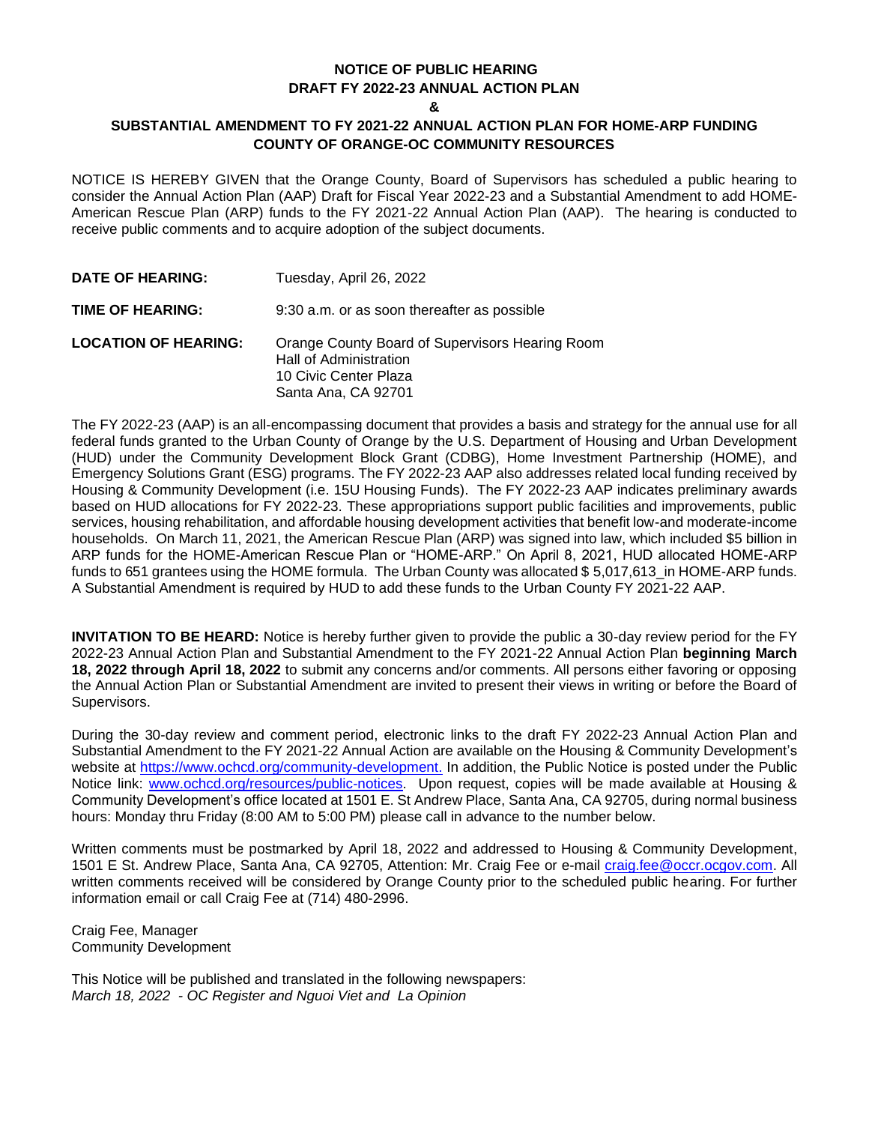## **NOTICE OF PUBLIC HEARING DRAFT FY 2022-23 ANNUAL ACTION PLAN**

**&**

## **SUBSTANTIAL AMENDMENT TO FY 2021-22 ANNUAL ACTION PLAN FOR HOME-ARP FUNDING COUNTY OF ORANGE-OC COMMUNITY RESOURCES**

NOTICE IS HEREBY GIVEN that the Orange County, Board of Supervisors has scheduled a public hearing to consider the Annual Action Plan (AAP) Draft for Fiscal Year 2022-23 and a Substantial Amendment to add HOME-American Rescue Plan (ARP) funds to the FY 2021-22 Annual Action Plan (AAP). The hearing is conducted to receive public comments and to acquire adoption of the subject documents.

| DATE OF HEARING:            | Tuesday, April 26, 2022                                                                                                   |
|-----------------------------|---------------------------------------------------------------------------------------------------------------------------|
| TIME OF HEARING:            | 9:30 a.m. or as soon thereafter as possible                                                                               |
| <b>LOCATION OF HEARING:</b> | Orange County Board of Supervisors Hearing Room<br>Hall of Administration<br>10 Civic Center Plaza<br>Santa Ana, CA 92701 |

The FY 2022-23 (AAP) is an all-encompassing document that provides a basis and strategy for the annual use for all federal funds granted to the Urban County of Orange by the U.S. Department of Housing and Urban Development (HUD) under the Community Development Block Grant (CDBG), Home Investment Partnership (HOME), and Emergency Solutions Grant (ESG) programs. The FY 2022-23 AAP also addresses related local funding received by Housing & Community Development (i.e. 15U Housing Funds). The FY 2022-23 AAP indicates preliminary awards based on HUD allocations for FY 2022-23. These appropriations support public facilities and improvements, public services, housing rehabilitation, and affordable housing development activities that benefit low-and moderate-income households. On March 11, 2021, the American Rescue Plan (ARP) was signed into law, which included \$5 billion in ARP funds for the HOME-American Rescue Plan or "HOME-ARP." On April 8, 2021, HUD allocated HOME-ARP funds to 651 grantees using the HOME formula. The Urban County was allocated \$ 5,017,613\_in HOME-ARP funds. A Substantial Amendment is required by HUD to add these funds to the Urban County FY 2021-22 AAP.

**INVITATION TO BE HEARD:** Notice is hereby further given to provide the public a 30-day review period for the FY 2022-23 Annual Action Plan and Substantial Amendment to the FY 2021-22 Annual Action Plan **beginning March 18, 2022 through April 18, 2022** to submit any concerns and/or comments. All persons either favoring or opposing the Annual Action Plan or Substantial Amendment are invited to present their views in writing or before the Board of Supervisors.

During the 30-day review and comment period, electronic links to the draft FY 2022-23 Annual Action Plan and Substantial Amendment to the FY 2021-22 Annual Action are available on the Housing & Community Development's website at [https://www.ochcd.org/community-development.](https://www.ochcd.org/community-development) In addition, the Public Notice is posted under the Public Notice link: [www.ochcd.org/resources/public-notices.](http://www.ochcd.org/resources/public-notices) Upon request, copies will be made available at Housing & Community Development's office located at 1501 E. St Andrew Place, Santa Ana, CA 92705, during normal business hours: Monday thru Friday (8:00 AM to 5:00 PM) please call in advance to the number below.

Written comments must be postmarked by April 18, 2022 and addressed to Housing & Community Development, 1501 E St. Andrew Place, Santa Ana, CA 92705, Attention: Mr. Craig Fee or e-mail [craig.fee@occr.ocgov.com.](mailto:craig.fee@occr.ocgov.com) All written comments received will be considered by Orange County prior to the scheduled public hearing. For further information email or call Craig Fee at (714) 480-2996.

Craig Fee, Manager Community Development

This Notice will be published and translated in the following newspapers: *March 18, 2022 - OC Register and Nguoi Viet and La Opinion*